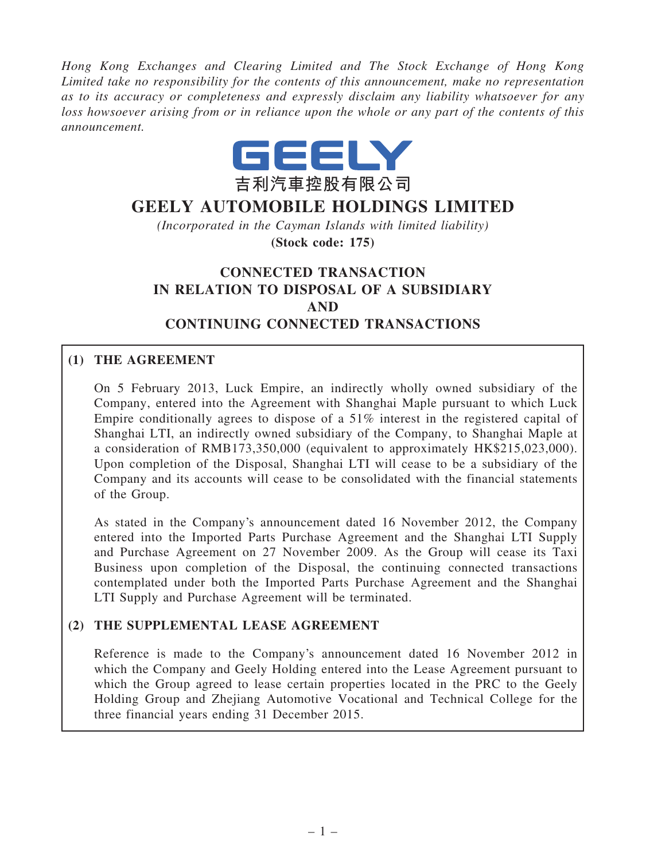*Hong Kong Exchanges and Clearing Limited and The Stock Exchange of Hong Kong Limited take no responsibility for the contents of this announcement, make no representation as to its accuracy or completeness and expressly disclaim any liability whatsoever for any loss howsoever arising from or in reliance upon the whole or any part of the contents of this announcement.*



# GEELY AUTOMOBILE HOLDINGS LIMITED

*(Incorporated in the Cayman Islands with limited liability)* (Stock code: 175)

# CONNECTED TRANSACTION IN RELATION TO DISPOSAL OF A SUBSIDIARY AND CONTINUING CONNECTED TRANSACTIONS

## (1) THE AGREEMENT

On 5 February 2013, Luck Empire, an indirectly wholly owned subsidiary of the Company, entered into the Agreement with Shanghai Maple pursuant to which Luck Empire conditionally agrees to dispose of a 51% interest in the registered capital of Shanghai LTI, an indirectly owned subsidiary of the Company, to Shanghai Maple at a consideration of RMB173,350,000 (equivalent to approximately HK\$215,023,000). Upon completion of the Disposal, Shanghai LTI will cease to be a subsidiary of the Company and its accounts will cease to be consolidated with the financial statements of the Group.

As stated in the Company's announcement dated 16 November 2012, the Company entered into the Imported Parts Purchase Agreement and the Shanghai LTI Supply and Purchase Agreement on 27 November 2009. As the Group will cease its Taxi Business upon completion of the Disposal, the continuing connected transactions contemplated under both the Imported Parts Purchase Agreement and the Shanghai LTI Supply and Purchase Agreement will be terminated.

#### (2) THE SUPPLEMENTAL LEASE AGREEMENT

Reference is made to the Company's announcement dated 16 November 2012 in which the Company and Geely Holding entered into the Lease Agreement pursuant to which the Group agreed to lease certain properties located in the PRC to the Geely Holding Group and Zhejiang Automotive Vocational and Technical College for the three financial years ending 31 December 2015.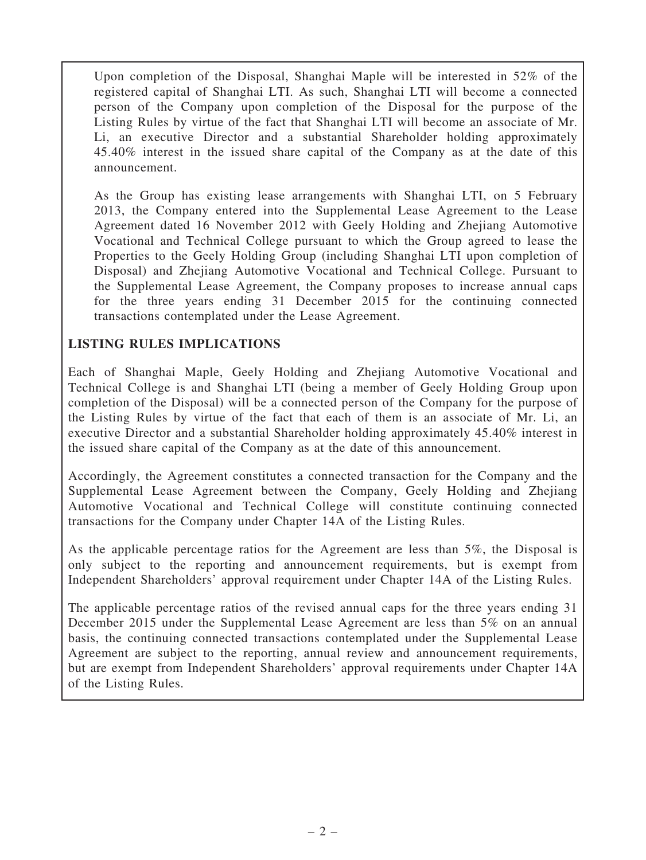Upon completion of the Disposal, Shanghai Maple will be interested in 52% of the registered capital of Shanghai LTI. As such, Shanghai LTI will become a connected person of the Company upon completion of the Disposal for the purpose of the Listing Rules by virtue of the fact that Shanghai LTI will become an associate of Mr. Li, an executive Director and a substantial Shareholder holding approximately 45.40% interest in the issued share capital of the Company as at the date of this announcement.

As the Group has existing lease arrangements with Shanghai LTI, on 5 February 2013, the Company entered into the Supplemental Lease Agreement to the Lease Agreement dated 16 November 2012 with Geely Holding and Zhejiang Automotive Vocational and Technical College pursuant to which the Group agreed to lease the Properties to the Geely Holding Group (including Shanghai LTI upon completion of Disposal) and Zhejiang Automotive Vocational and Technical College. Pursuant to the Supplemental Lease Agreement, the Company proposes to increase annual caps for the three years ending 31 December 2015 for the continuing connected transactions contemplated under the Lease Agreement.

## LISTING RULES IMPLICATIONS

Each of Shanghai Maple, Geely Holding and Zhejiang Automotive Vocational and Technical College is and Shanghai LTI (being a member of Geely Holding Group upon completion of the Disposal) will be a connected person of the Company for the purpose of the Listing Rules by virtue of the fact that each of them is an associate of Mr. Li, an executive Director and a substantial Shareholder holding approximately 45.40% interest in the issued share capital of the Company as at the date of this announcement.

Accordingly, the Agreement constitutes a connected transaction for the Company and the Supplemental Lease Agreement between the Company, Geely Holding and Zhejiang Automotive Vocational and Technical College will constitute continuing connected transactions for the Company under Chapter 14A of the Listing Rules.

As the applicable percentage ratios for the Agreement are less than 5%, the Disposal is only subject to the reporting and announcement requirements, but is exempt from Independent Shareholders' approval requirement under Chapter 14A of the Listing Rules.

The applicable percentage ratios of the revised annual caps for the three years ending 31 December 2015 under the Supplemental Lease Agreement are less than 5% on an annual basis, the continuing connected transactions contemplated under the Supplemental Lease Agreement are subject to the reporting, annual review and announcement requirements, but are exempt from Independent Shareholders' approval requirements under Chapter 14A of the Listing Rules.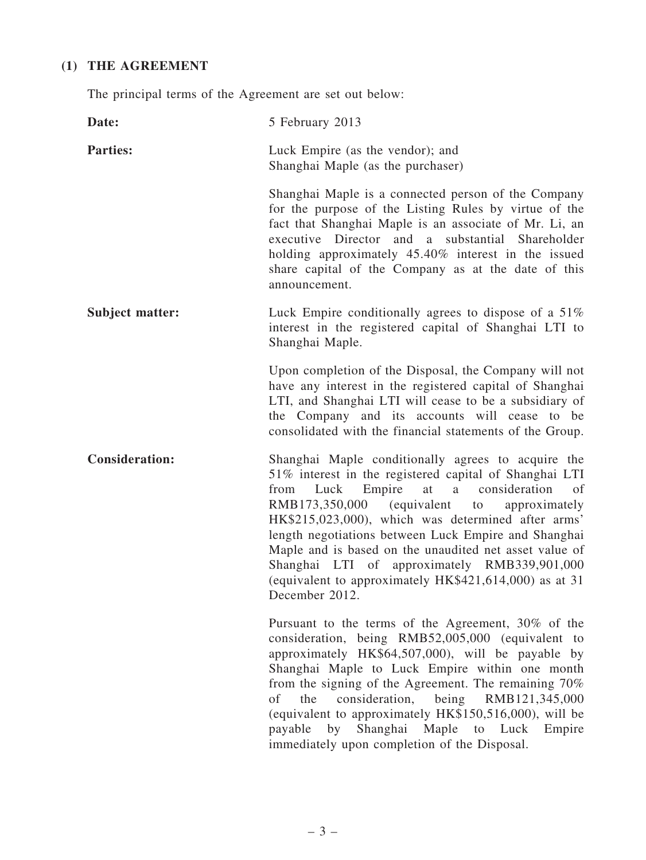## (1) THE AGREEMENT

The principal terms of the Agreement are set out below:

| Date:                  | 5 February 2013                                                                                                                                                                                                                                                                                                                                                                                                                                                                                                                  |
|------------------------|----------------------------------------------------------------------------------------------------------------------------------------------------------------------------------------------------------------------------------------------------------------------------------------------------------------------------------------------------------------------------------------------------------------------------------------------------------------------------------------------------------------------------------|
| <b>Parties:</b>        | Luck Empire (as the vendor); and<br>Shanghai Maple (as the purchaser)                                                                                                                                                                                                                                                                                                                                                                                                                                                            |
|                        | Shanghai Maple is a connected person of the Company<br>for the purpose of the Listing Rules by virtue of the<br>fact that Shanghai Maple is an associate of Mr. Li, an<br>executive Director and a substantial Shareholder<br>holding approximately 45.40% interest in the issued<br>share capital of the Company as at the date of this<br>announcement.                                                                                                                                                                        |
| <b>Subject matter:</b> | Luck Empire conditionally agrees to dispose of a 51%<br>interest in the registered capital of Shanghai LTI to<br>Shanghai Maple.                                                                                                                                                                                                                                                                                                                                                                                                 |
|                        | Upon completion of the Disposal, the Company will not<br>have any interest in the registered capital of Shanghai<br>LTI, and Shanghai LTI will cease to be a subsidiary of<br>the Company and its accounts will cease to be<br>consolidated with the financial statements of the Group.                                                                                                                                                                                                                                          |
| <b>Consideration:</b>  | Shanghai Maple conditionally agrees to acquire the<br>51% interest in the registered capital of Shanghai LTI<br>consideration<br>Empire<br>at<br>a<br>from<br>Luck<br>of<br>RMB173,350,000 (equivalent<br>approximately<br>to<br>HK\$215,023,000), which was determined after arms'<br>length negotiations between Luck Empire and Shanghai<br>Maple and is based on the unaudited net asset value of<br>Shanghai LTI of approximately RMB339,901,000<br>(equivalent to approximately HK\$421,614,000) as at 31<br>December 2012 |
|                        | Pursuant to the terms of the Agreement, 30% of the<br>consideration, being RMB52,005,000 (equivalent to<br>approximately HK\$64,507,000), will be payable by<br>Shanghai Maple to Luck Empire within one month<br>from the signing of the Agreement. The remaining 70%<br>the<br>consideration, being<br>RMB121,345,000<br>of<br>(equivalent to approximately HK\$150,516,000), will be<br>by<br>Shanghai Maple to Luck<br>payable<br>Empire<br>immediately upon completion of the Disposal.                                     |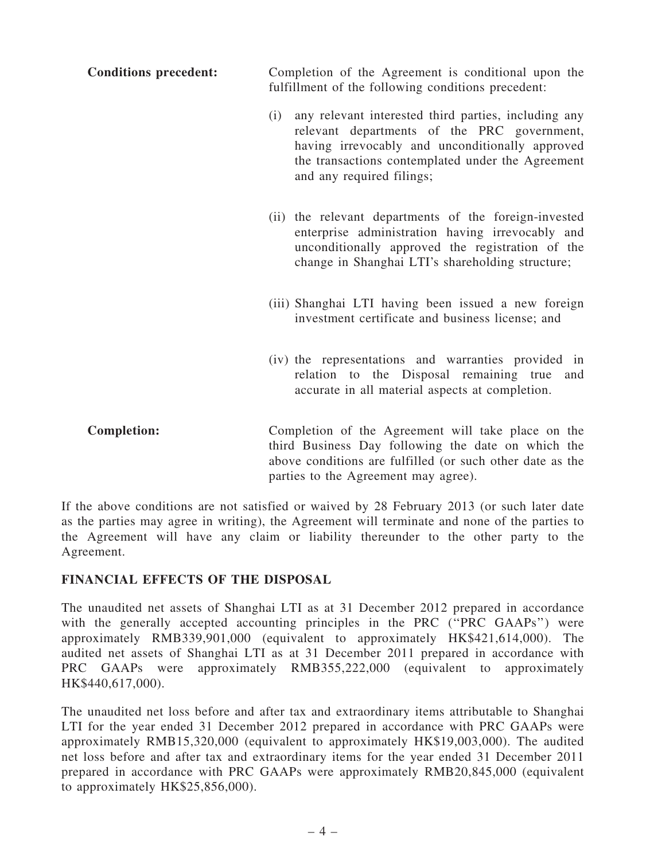| <b>Conditions precedent:</b> | Completion of the Agreement is conditional upon the |
|------------------------------|-----------------------------------------------------|
|                              | fulfillment of the following conditions precedent:  |

- (i) any relevant interested third parties, including any relevant departments of the PRC government, having irrevocably and unconditionally approved the transactions contemplated under the Agreement and any required filings;
- (ii) the relevant departments of the foreign-invested enterprise administration having irrevocably and unconditionally approved the registration of the change in Shanghai LTI's shareholding structure;
- (iii) Shanghai LTI having been issued a new foreign investment certificate and business license; and
- (iv) the representations and warranties provided in relation to the Disposal remaining true and accurate in all material aspects at completion.
- Completion: Completion of the Agreement will take place on the third Business Day following the date on which the above conditions are fulfilled (or such other date as the parties to the Agreement may agree).

If the above conditions are not satisfied or waived by 28 February 2013 (or such later date as the parties may agree in writing), the Agreement will terminate and none of the parties to the Agreement will have any claim or liability thereunder to the other party to the Agreement.

#### FINANCIAL EFFECTS OF THE DISPOSAL

The unaudited net assets of Shanghai LTI as at 31 December 2012 prepared in accordance with the generally accepted accounting principles in the PRC ("PRC GAAPs") were approximately RMB339,901,000 (equivalent to approximately HK\$421,614,000). The audited net assets of Shanghai LTI as at 31 December 2011 prepared in accordance with PRC GAAPs were approximately RMB355,222,000 (equivalent to approximately HK\$440,617,000).

The unaudited net loss before and after tax and extraordinary items attributable to Shanghai LTI for the year ended 31 December 2012 prepared in accordance with PRC GAAPs were approximately RMB15,320,000 (equivalent to approximately HK\$19,003,000). The audited net loss before and after tax and extraordinary items for the year ended 31 December 2011 prepared in accordance with PRC GAAPs were approximately RMB20,845,000 (equivalent to approximately HK\$25,856,000).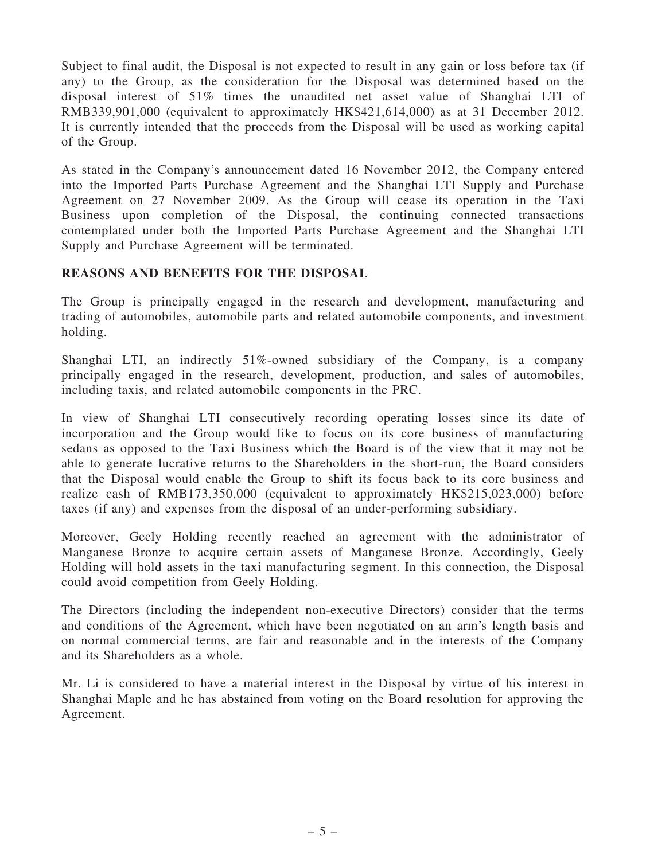Subject to final audit, the Disposal is not expected to result in any gain or loss before tax (if any) to the Group, as the consideration for the Disposal was determined based on the disposal interest of 51% times the unaudited net asset value of Shanghai LTI of RMB339,901,000 (equivalent to approximately HK\$421,614,000) as at 31 December 2012. It is currently intended that the proceeds from the Disposal will be used as working capital of the Group.

As stated in the Company's announcement dated 16 November 2012, the Company entered into the Imported Parts Purchase Agreement and the Shanghai LTI Supply and Purchase Agreement on 27 November 2009. As the Group will cease its operation in the Taxi Business upon completion of the Disposal, the continuing connected transactions contemplated under both the Imported Parts Purchase Agreement and the Shanghai LTI Supply and Purchase Agreement will be terminated.

#### REASONS AND BENEFITS FOR THE DISPOSAL

The Group is principally engaged in the research and development, manufacturing and trading of automobiles, automobile parts and related automobile components, and investment holding.

Shanghai LTI, an indirectly 51%-owned subsidiary of the Company, is a company principally engaged in the research, development, production, and sales of automobiles, including taxis, and related automobile components in the PRC.

In view of Shanghai LTI consecutively recording operating losses since its date of incorporation and the Group would like to focus on its core business of manufacturing sedans as opposed to the Taxi Business which the Board is of the view that it may not be able to generate lucrative returns to the Shareholders in the short-run, the Board considers that the Disposal would enable the Group to shift its focus back to its core business and realize cash of RMB173,350,000 (equivalent to approximately HK\$215,023,000) before taxes (if any) and expenses from the disposal of an under-performing subsidiary.

Moreover, Geely Holding recently reached an agreement with the administrator of Manganese Bronze to acquire certain assets of Manganese Bronze. Accordingly, Geely Holding will hold assets in the taxi manufacturing segment. In this connection, the Disposal could avoid competition from Geely Holding.

The Directors (including the independent non-executive Directors) consider that the terms and conditions of the Agreement, which have been negotiated on an arm's length basis and on normal commercial terms, are fair and reasonable and in the interests of the Company and its Shareholders as a whole.

Mr. Li is considered to have a material interest in the Disposal by virtue of his interest in Shanghai Maple and he has abstained from voting on the Board resolution for approving the Agreement.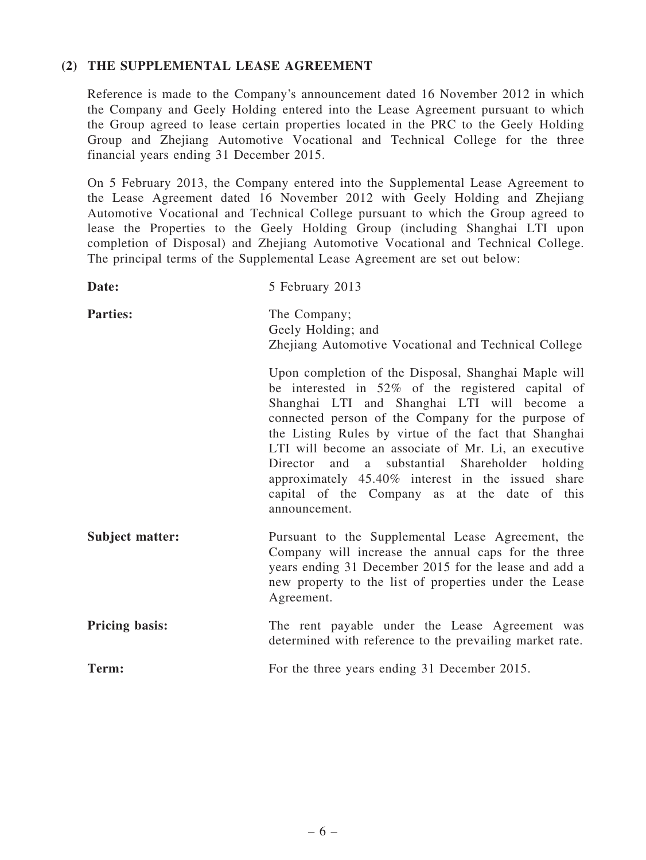#### (2) THE SUPPLEMENTAL LEASE AGREEMENT

Reference is made to the Company's announcement dated 16 November 2012 in which the Company and Geely Holding entered into the Lease Agreement pursuant to which the Group agreed to lease certain properties located in the PRC to the Geely Holding Group and Zhejiang Automotive Vocational and Technical College for the three financial years ending 31 December 2015.

On 5 February 2013, the Company entered into the Supplemental Lease Agreement to the Lease Agreement dated 16 November 2012 with Geely Holding and Zhejiang Automotive Vocational and Technical College pursuant to which the Group agreed to lease the Properties to the Geely Holding Group (including Shanghai LTI upon completion of Disposal) and Zhejiang Automotive Vocational and Technical College. The principal terms of the Supplemental Lease Agreement are set out below:

| Date:                  | 5 February 2013                                                                                                                                                                                                                                                                                                                                                                                                                                                                                          |
|------------------------|----------------------------------------------------------------------------------------------------------------------------------------------------------------------------------------------------------------------------------------------------------------------------------------------------------------------------------------------------------------------------------------------------------------------------------------------------------------------------------------------------------|
| <b>Parties:</b>        | The Company;<br>Geely Holding; and<br>Zhejiang Automotive Vocational and Technical College                                                                                                                                                                                                                                                                                                                                                                                                               |
|                        | Upon completion of the Disposal, Shanghai Maple will<br>be interested in 52% of the registered capital of<br>Shanghai LTI and Shanghai LTI will become a<br>connected person of the Company for the purpose of<br>the Listing Rules by virtue of the fact that Shanghai<br>LTI will become an associate of Mr. Li, an executive<br>Director and a substantial Shareholder holding<br>approximately 45.40% interest in the issued share<br>capital of the Company as at the date of this<br>announcement. |
| <b>Subject matter:</b> | Pursuant to the Supplemental Lease Agreement, the<br>Company will increase the annual caps for the three<br>years ending 31 December 2015 for the lease and add a<br>new property to the list of properties under the Lease<br>Agreement.                                                                                                                                                                                                                                                                |
| <b>Pricing basis:</b>  | The rent payable under the Lease Agreement was<br>determined with reference to the prevailing market rate.                                                                                                                                                                                                                                                                                                                                                                                               |
| Term:                  | For the three years ending 31 December 2015.                                                                                                                                                                                                                                                                                                                                                                                                                                                             |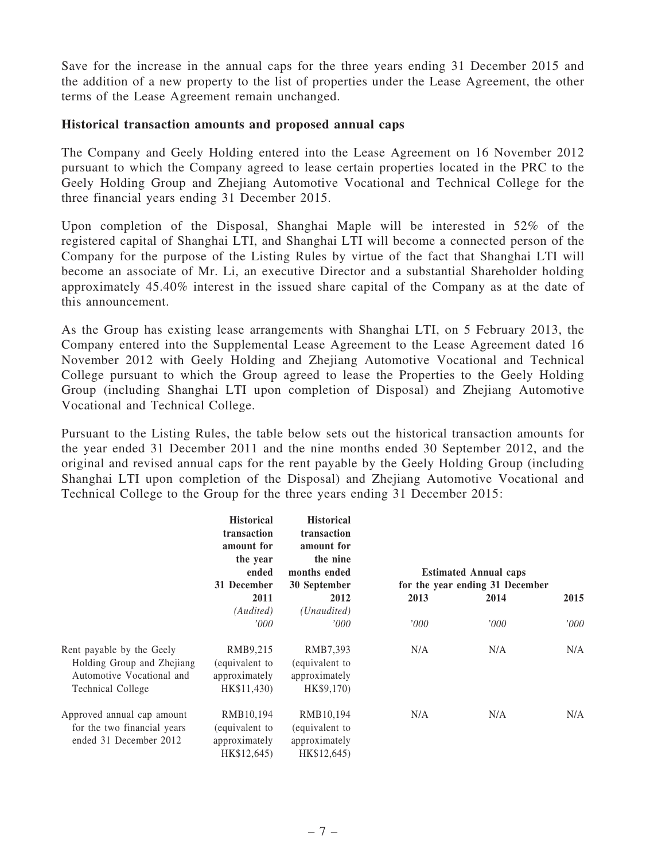Save for the increase in the annual caps for the three years ending 31 December 2015 and the addition of a new property to the list of properties under the Lease Agreement, the other terms of the Lease Agreement remain unchanged.

#### Historical transaction amounts and proposed annual caps

The Company and Geely Holding entered into the Lease Agreement on 16 November 2012 pursuant to which the Company agreed to lease certain properties located in the PRC to the Geely Holding Group and Zhejiang Automotive Vocational and Technical College for the three financial years ending 31 December 2015.

Upon completion of the Disposal, Shanghai Maple will be interested in 52% of the registered capital of Shanghai LTI, and Shanghai LTI will become a connected person of the Company for the purpose of the Listing Rules by virtue of the fact that Shanghai LTI will become an associate of Mr. Li, an executive Director and a substantial Shareholder holding approximately 45.40% interest in the issued share capital of the Company as at the date of this announcement.

As the Group has existing lease arrangements with Shanghai LTI, on 5 February 2013, the Company entered into the Supplemental Lease Agreement to the Lease Agreement dated 16 November 2012 with Geely Holding and Zhejiang Automotive Vocational and Technical College pursuant to which the Group agreed to lease the Properties to the Geely Holding Group (including Shanghai LTI upon completion of Disposal) and Zhejiang Automotive Vocational and Technical College.

Pursuant to the Listing Rules, the table below sets out the historical transaction amounts for the year ended 31 December 2011 and the nine months ended 30 September 2012, and the original and revised annual caps for the rent payable by the Geely Holding Group (including Shanghai LTI upon completion of the Disposal) and Zhejiang Automotive Vocational and Technical College to the Group for the three years ending 31 December 2015:

|                                                                                                           | <b>Historical</b><br>transaction<br>amount for<br>the year<br>ended<br>31 December | <b>Historical</b><br>transaction<br>amount for<br>the nine<br>months ended<br>30 September |      | <b>Estimated Annual caps</b><br>for the year ending 31 December |       |
|-----------------------------------------------------------------------------------------------------------|------------------------------------------------------------------------------------|--------------------------------------------------------------------------------------------|------|-----------------------------------------------------------------|-------|
|                                                                                                           | 2011                                                                               | 2012                                                                                       | 2013 | 2014                                                            | 2015  |
|                                                                                                           | (Audited)<br>'000                                                                  | (Unaudited)<br>000'                                                                        | '000 | '000                                                            | '000' |
| Rent payable by the Geely<br>Holding Group and Zhejiang<br>Automotive Vocational and<br>Technical College | RMB9,215<br>(equivalent to<br>approximately<br>HK\$11,430)                         | RMB7,393<br>(equivalent to<br>approximately<br>HK\$9,170)                                  | N/A  | N/A                                                             | N/A   |
| Approved annual cap amount<br>for the two financial years<br>ended 31 December 2012                       | RMB10,194<br>equivalent to<br>approximately<br>HK\$12,645)                         | RMB10,194<br>(equivalent to<br>approximately<br>HK\$12,645)                                | N/A  | N/A                                                             | N/A   |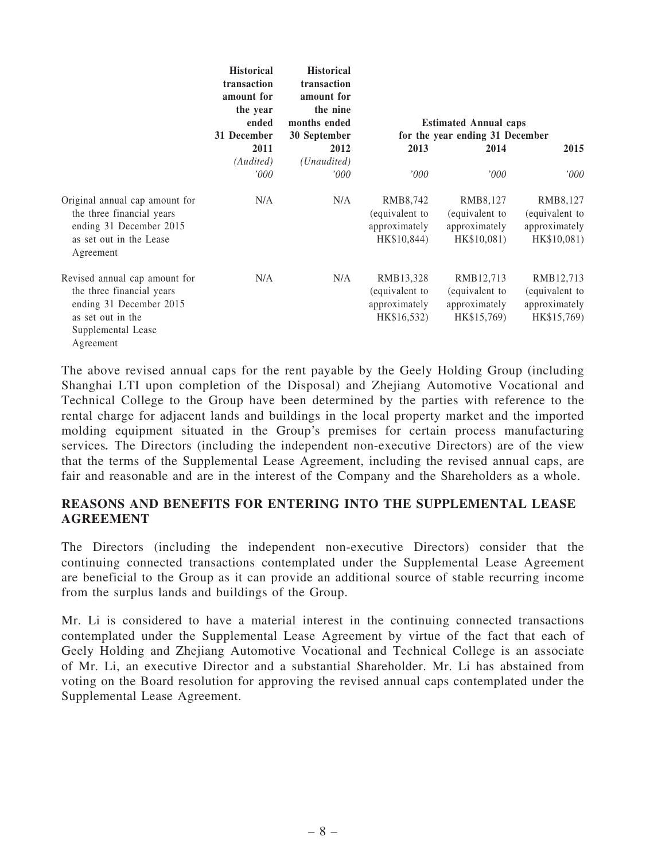|                                                                                                                                               | <b>Historical</b><br>transaction<br>amount for<br>the year<br>ended<br>31 December | <b>Historical</b><br>transaction<br>amount for<br>the nine<br>months ended<br>30 September |                                                             | <b>Estimated Annual caps</b><br>for the year ending 31 December |                                                             |
|-----------------------------------------------------------------------------------------------------------------------------------------------|------------------------------------------------------------------------------------|--------------------------------------------------------------------------------------------|-------------------------------------------------------------|-----------------------------------------------------------------|-------------------------------------------------------------|
|                                                                                                                                               | 2011                                                                               | 2012                                                                                       | 2013                                                        | 2014                                                            | 2015                                                        |
|                                                                                                                                               | (Audited)<br>'000                                                                  | (Unaudited)<br>'000                                                                        | '000                                                        | '000                                                            | '000'                                                       |
| Original annual cap amount for<br>the three financial years<br>ending 31 December 2015<br>as set out in the Lease<br>Agreement                | N/A                                                                                | N/A                                                                                        | RMB8,742<br>(equivalent to<br>approximately<br>HK\$10,844)  | RMB8,127<br>(equivalent to<br>approximately<br>HK\$10,081)      | RMB8,127<br>(equivalent to<br>approximately<br>HK\$10,081)  |
| Revised annual cap amount for<br>the three financial years<br>ending 31 December 2015<br>as set out in the<br>Supplemental Lease<br>Agreement | N/A                                                                                | N/A                                                                                        | RMB13,328<br>(equivalent to<br>approximately<br>HK\$16,532) | RMB12,713<br>(equivalent to<br>approximately<br>HK\$15,769)     | RMB12,713<br>(equivalent to<br>approximately<br>HK\$15,769) |

The above revised annual caps for the rent payable by the Geely Holding Group (including Shanghai LTI upon completion of the Disposal) and Zhejiang Automotive Vocational and Technical College to the Group have been determined by the parties with reference to the rental charge for adjacent lands and buildings in the local property market and the imported molding equipment situated in the Group's premises for certain process manufacturing services. The Directors (including the independent non-executive Directors) are of the view that the terms of the Supplemental Lease Agreement, including the revised annual caps, are fair and reasonable and are in the interest of the Company and the Shareholders as a whole.

#### REASONS AND BENEFITS FOR ENTERING INTO THE SUPPLEMENTAL LEASE AGREEMENT

The Directors (including the independent non-executive Directors) consider that the continuing connected transactions contemplated under the Supplemental Lease Agreement are beneficial to the Group as it can provide an additional source of stable recurring income from the surplus lands and buildings of the Group.

Mr. Li is considered to have a material interest in the continuing connected transactions contemplated under the Supplemental Lease Agreement by virtue of the fact that each of Geely Holding and Zhejiang Automotive Vocational and Technical College is an associate of Mr. Li, an executive Director and a substantial Shareholder. Mr. Li has abstained from voting on the Board resolution for approving the revised annual caps contemplated under the Supplemental Lease Agreement.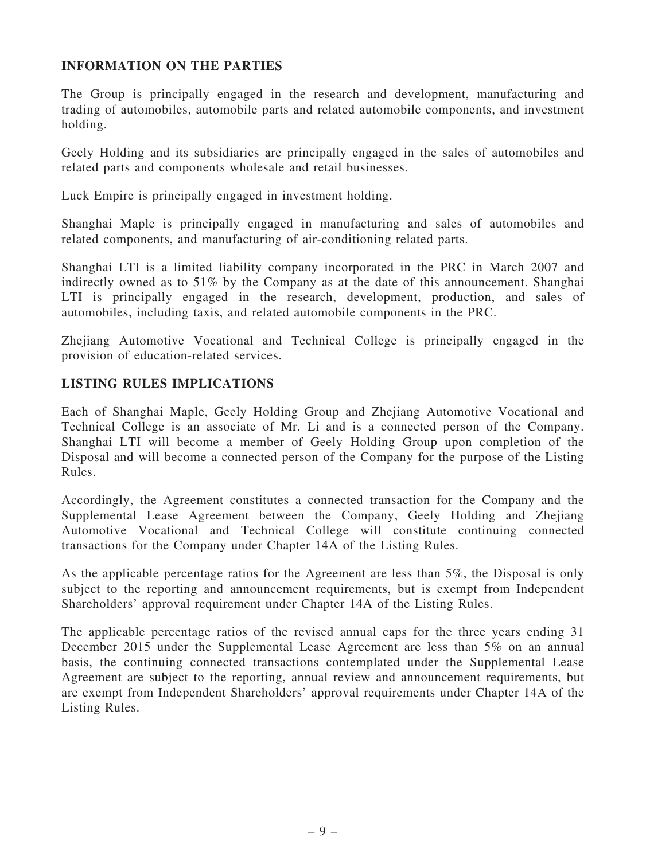### INFORMATION ON THE PARTIES

The Group is principally engaged in the research and development, manufacturing and trading of automobiles, automobile parts and related automobile components, and investment holding.

Geely Holding and its subsidiaries are principally engaged in the sales of automobiles and related parts and components wholesale and retail businesses.

Luck Empire is principally engaged in investment holding.

Shanghai Maple is principally engaged in manufacturing and sales of automobiles and related components, and manufacturing of air-conditioning related parts.

Shanghai LTI is a limited liability company incorporated in the PRC in March 2007 and indirectly owned as to 51% by the Company as at the date of this announcement. Shanghai LTI is principally engaged in the research, development, production, and sales of automobiles, including taxis, and related automobile components in the PRC.

Zhejiang Automotive Vocational and Technical College is principally engaged in the provision of education-related services.

## LISTING RULES IMPLICATIONS

Each of Shanghai Maple, Geely Holding Group and Zhejiang Automotive Vocational and Technical College is an associate of Mr. Li and is a connected person of the Company. Shanghai LTI will become a member of Geely Holding Group upon completion of the Disposal and will become a connected person of the Company for the purpose of the Listing Rules.

Accordingly, the Agreement constitutes a connected transaction for the Company and the Supplemental Lease Agreement between the Company, Geely Holding and Zhejiang Automotive Vocational and Technical College will constitute continuing connected transactions for the Company under Chapter 14A of the Listing Rules.

As the applicable percentage ratios for the Agreement are less than 5%, the Disposal is only subject to the reporting and announcement requirements, but is exempt from Independent Shareholders' approval requirement under Chapter 14A of the Listing Rules.

The applicable percentage ratios of the revised annual caps for the three years ending 31 December 2015 under the Supplemental Lease Agreement are less than 5% on an annual basis, the continuing connected transactions contemplated under the Supplemental Lease Agreement are subject to the reporting, annual review and announcement requirements, but are exempt from Independent Shareholders' approval requirements under Chapter 14A of the Listing Rules.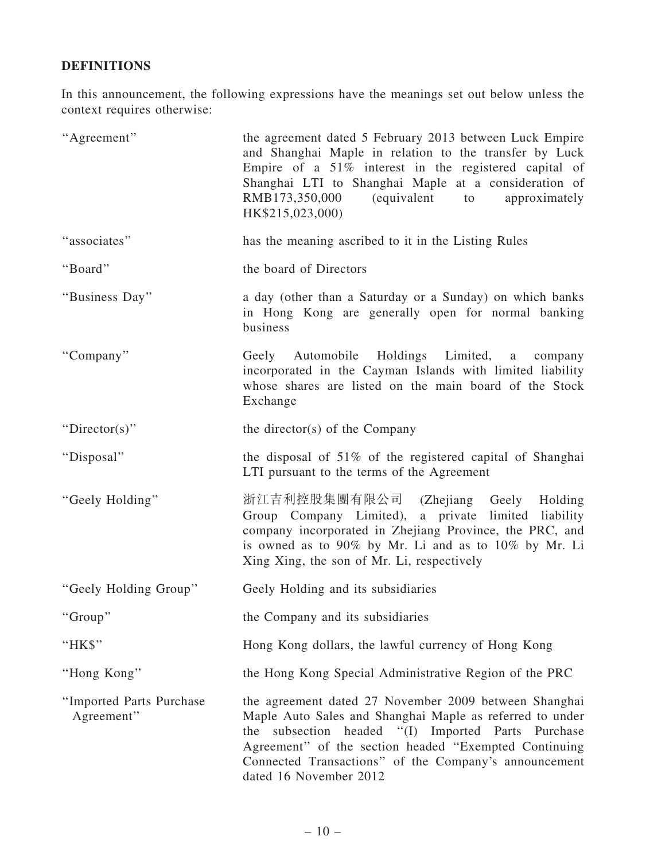## DEFINITIONS

In this announcement, the following expressions have the meanings set out below unless the context requires otherwise:

| "Agreement"                            | the agreement dated 5 February 2013 between Luck Empire<br>and Shanghai Maple in relation to the transfer by Luck<br>Empire of a $51\%$ interest in the registered capital of<br>Shanghai LTI to Shanghai Maple at a consideration of<br>RMB173,350,000<br>(equivalent to<br>approximately<br>HK\$215,023,000)      |
|----------------------------------------|---------------------------------------------------------------------------------------------------------------------------------------------------------------------------------------------------------------------------------------------------------------------------------------------------------------------|
| "associates"                           | has the meaning ascribed to it in the Listing Rules                                                                                                                                                                                                                                                                 |
| "Board"                                | the board of Directors                                                                                                                                                                                                                                                                                              |
| "Business Day"                         | a day (other than a Saturday or a Sunday) on which banks<br>in Hong Kong are generally open for normal banking<br>business                                                                                                                                                                                          |
| "Company"                              | Geely Automobile Holdings Limited, a company<br>incorporated in the Cayman Islands with limited liability<br>whose shares are listed on the main board of the Stock<br>Exchange                                                                                                                                     |
| "Director(s)"                          | the director(s) of the Company                                                                                                                                                                                                                                                                                      |
| "Disposal"                             | the disposal of 51% of the registered capital of Shanghai<br>LTI pursuant to the terms of the Agreement                                                                                                                                                                                                             |
| "Geely Holding"                        | 浙江吉利控股集團有限公司 (Zhejiang Geely<br>Holding<br>Group Company Limited), a private limited liability<br>company incorporated in Zhejiang Province, the PRC, and<br>is owned as to 90% by Mr. Li and as to 10% by Mr. Li<br>Xing Xing, the son of Mr. Li, respectively                                                     |
| "Geely Holding Group"                  | Geely Holding and its subsidiaries                                                                                                                                                                                                                                                                                  |
| "Group"                                | the Company and its subsidiaries                                                                                                                                                                                                                                                                                    |
| "HK\$"                                 | Hong Kong dollars, the lawful currency of Hong Kong                                                                                                                                                                                                                                                                 |
| "Hong Kong"                            | the Hong Kong Special Administrative Region of the PRC                                                                                                                                                                                                                                                              |
| "Imported Parts Purchase<br>Agreement" | the agreement dated 27 November 2009 between Shanghai<br>Maple Auto Sales and Shanghai Maple as referred to under<br>the subsection headed "(I) Imported Parts Purchase<br>Agreement" of the section headed "Exempted Continuing<br>Connected Transactions" of the Company's announcement<br>dated 16 November 2012 |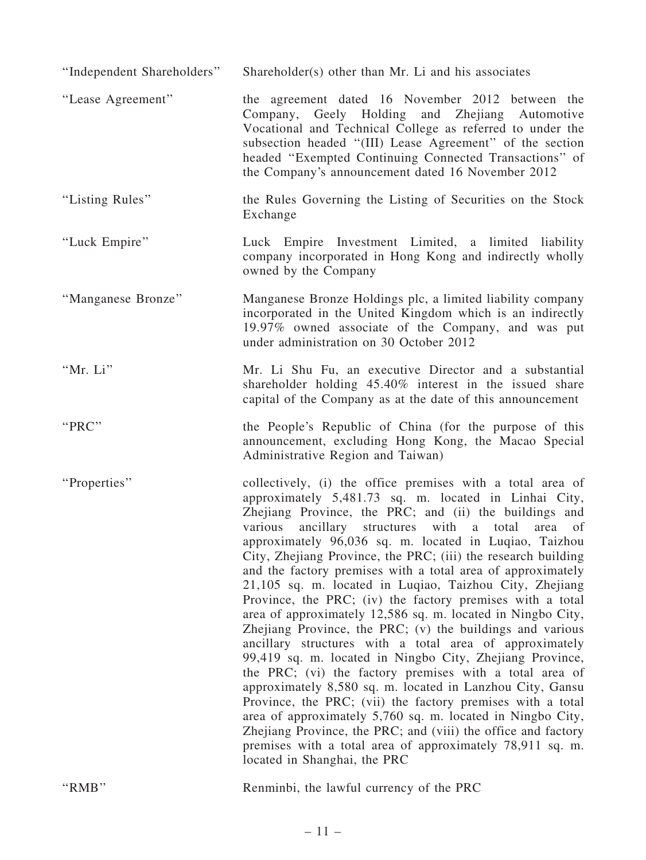| "Independent Shareholders" | Shareholder(s) other than Mr. Li and his associates                                                                                                                                                                                                                                                                                                                                                                                                                                                                                                                                                                                                                                                                                                                                                                                                                                                                                                                                                                                                                                                                                                                                                                                   |
|----------------------------|---------------------------------------------------------------------------------------------------------------------------------------------------------------------------------------------------------------------------------------------------------------------------------------------------------------------------------------------------------------------------------------------------------------------------------------------------------------------------------------------------------------------------------------------------------------------------------------------------------------------------------------------------------------------------------------------------------------------------------------------------------------------------------------------------------------------------------------------------------------------------------------------------------------------------------------------------------------------------------------------------------------------------------------------------------------------------------------------------------------------------------------------------------------------------------------------------------------------------------------|
| "Lease Agreement"          | the agreement dated 16 November 2012 between the<br>Company, Geely Holding and Zhejiang Automotive<br>Vocational and Technical College as referred to under the<br>subsection headed "(III) Lease Agreement" of the section<br>headed "Exempted Continuing Connected Transactions" of<br>the Company's announcement dated 16 November 2012                                                                                                                                                                                                                                                                                                                                                                                                                                                                                                                                                                                                                                                                                                                                                                                                                                                                                            |
| "Listing Rules"            | the Rules Governing the Listing of Securities on the Stock<br>Exchange                                                                                                                                                                                                                                                                                                                                                                                                                                                                                                                                                                                                                                                                                                                                                                                                                                                                                                                                                                                                                                                                                                                                                                |
| "Luck Empire"              | Luck Empire Investment Limited, a limited liability<br>company incorporated in Hong Kong and indirectly wholly<br>owned by the Company                                                                                                                                                                                                                                                                                                                                                                                                                                                                                                                                                                                                                                                                                                                                                                                                                                                                                                                                                                                                                                                                                                |
| "Manganese Bronze"         | Manganese Bronze Holdings plc, a limited liability company<br>incorporated in the United Kingdom which is an indirectly<br>19.97% owned associate of the Company, and was put<br>under administration on 30 October 2012                                                                                                                                                                                                                                                                                                                                                                                                                                                                                                                                                                                                                                                                                                                                                                                                                                                                                                                                                                                                              |
| "Mr. Li"                   | Mr. Li Shu Fu, an executive Director and a substantial<br>shareholder holding 45.40% interest in the issued share<br>capital of the Company as at the date of this announcement                                                                                                                                                                                                                                                                                                                                                                                                                                                                                                                                                                                                                                                                                                                                                                                                                                                                                                                                                                                                                                                       |
| "PRC"                      | the People's Republic of China (for the purpose of this<br>announcement, excluding Hong Kong, the Macao Special<br>Administrative Region and Taiwan)                                                                                                                                                                                                                                                                                                                                                                                                                                                                                                                                                                                                                                                                                                                                                                                                                                                                                                                                                                                                                                                                                  |
| "Properties"               | collectively, (i) the office premises with a total area of<br>approximately 5,481.73 sq. m. located in Linhai City,<br>Zhejiang Province, the PRC; and (ii) the buildings and<br>various<br>ancillary structures<br>with a total<br>area<br>of<br>approximately 96,036 sq. m. located in Luqiao, Taizhou<br>City, Zhejiang Province, the PRC; (iii) the research building<br>and the factory premises with a total area of approximately<br>21,105 sq. m. located in Luqiao, Taizhou City, Zhejiang<br>Province, the PRC; (iv) the factory premises with a total<br>area of approximately 12,586 sq. m. located in Ningbo City,<br>Zhejiang Province, the PRC; (v) the buildings and various<br>ancillary structures with a total area of approximately<br>99,419 sq. m. located in Ningbo City, Zhejiang Province,<br>the PRC; (vi) the factory premises with a total area of<br>approximately 8,580 sq. m. located in Lanzhou City, Gansu<br>Province, the PRC; (vii) the factory premises with a total<br>area of approximately 5,760 sq. m. located in Ningbo City,<br>Zhejiang Province, the PRC; and (viii) the office and factory<br>premises with a total area of approximately 78,911 sq. m.<br>located in Shanghai, the PRC |
| "RMB"                      | Renminbi, the lawful currency of the PRC                                                                                                                                                                                                                                                                                                                                                                                                                                                                                                                                                                                                                                                                                                                                                                                                                                                                                                                                                                                                                                                                                                                                                                                              |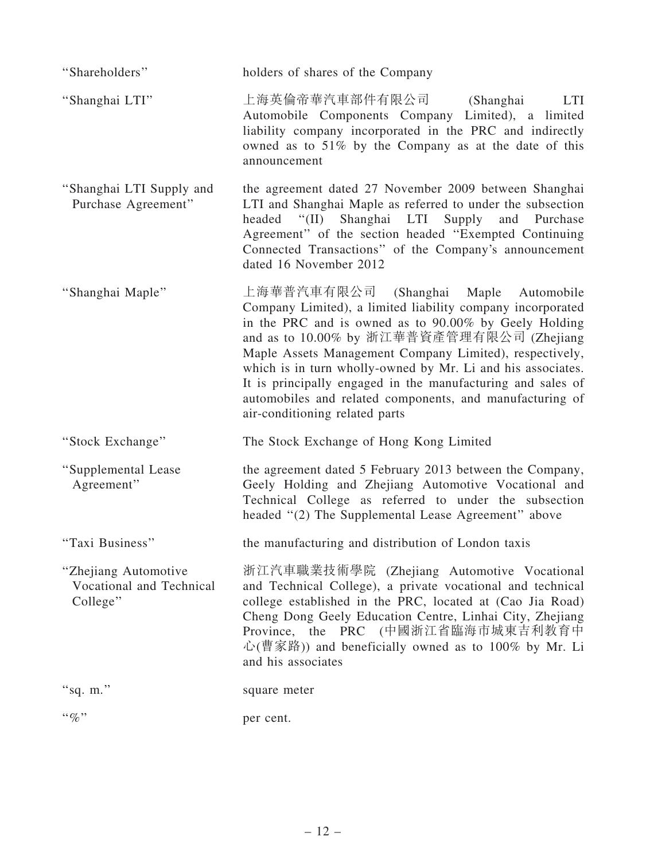| "Shareholders"                                               | holders of shares of the Company                                                                                                                                                                                                                                                                                                                                                                                                                                                                  |
|--------------------------------------------------------------|---------------------------------------------------------------------------------------------------------------------------------------------------------------------------------------------------------------------------------------------------------------------------------------------------------------------------------------------------------------------------------------------------------------------------------------------------------------------------------------------------|
| "Shanghai LTI"                                               | 上海英倫帝華汽車部件有限公司<br>(Shanghai)<br>LTI<br>Automobile Components Company Limited), a limited<br>liability company incorporated in the PRC and indirectly<br>owned as to 51% by the Company as at the date of this<br>announcement                                                                                                                                                                                                                                                                     |
| "Shanghai LTI Supply and<br>Purchase Agreement"              | the agreement dated 27 November 2009 between Shanghai<br>LTI and Shanghai Maple as referred to under the subsection<br>headed "(II) Shanghai LTI Supply<br>and Purchase<br>Agreement" of the section headed "Exempted Continuing<br>Connected Transactions" of the Company's announcement<br>dated 16 November 2012                                                                                                                                                                               |
| "Shanghai Maple"                                             | 上海華普汽車有限公司 (Shanghai Maple Automobile<br>Company Limited), a limited liability company incorporated<br>in the PRC and is owned as to 90.00% by Geely Holding<br>and as to 10.00% by 浙江華普資產管理有限公司 (Zhejiang<br>Maple Assets Management Company Limited), respectively,<br>which is in turn wholly-owned by Mr. Li and his associates.<br>It is principally engaged in the manufacturing and sales of<br>automobiles and related components, and manufacturing of<br>air-conditioning related parts |
| "Stock Exchange"                                             | The Stock Exchange of Hong Kong Limited                                                                                                                                                                                                                                                                                                                                                                                                                                                           |
| "Supplemental Lease<br>Agreement"                            | the agreement dated 5 February 2013 between the Company,<br>Geely Holding and Zhejiang Automotive Vocational and<br>Technical College as referred to under the subsection<br>headed "(2) The Supplemental Lease Agreement" above                                                                                                                                                                                                                                                                  |
| "Taxi Business"                                              | the manufacturing and distribution of London taxis                                                                                                                                                                                                                                                                                                                                                                                                                                                |
| "Zhejiang Automotive<br>Vocational and Technical<br>College" | 浙江汽車職業技術學院 (Zhejiang Automotive Vocational<br>and Technical College), a private vocational and technical<br>college established in the PRC, located at (Cao Jia Road)<br>Cheng Dong Geely Education Centre, Linhai City, Zhejiang<br>Province, the PRC (中國浙江省臨海市城東吉利教育中<br>心(曹家路)) and beneficially owned as to 100% by Mr. Li<br>and his associates                                                                                                                                              |
| "sq. $m$ ."                                                  | square meter                                                                                                                                                                                                                                                                                                                                                                                                                                                                                      |
| $``\%"$                                                      | per cent.                                                                                                                                                                                                                                                                                                                                                                                                                                                                                         |